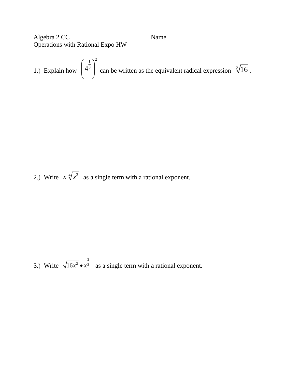Algebra 2 CC Name \_\_\_\_\_\_\_\_\_\_\_\_\_\_\_\_\_\_\_\_\_\_\_\_\_ Operations with Rational Expo HW

1.) Explain how  $1\lambda^2$ 3 4  $\left(4^{\frac{1}{3}}\right)$ can be written as the equivalent radical expression  $\sqrt[3]{16}$ .

2.) Write  $x \sqrt[4]{x^3}$  as a single term with a rational exponent.

3.) Write 2  $16x^2 \bullet x^3$  as a single term with a rational exponent.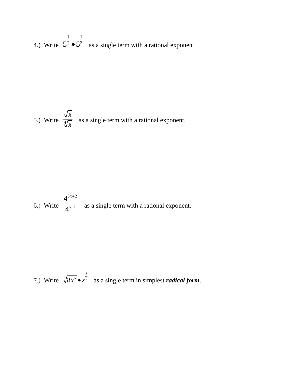4.) Write 1 1  $5^2 \bullet 5^3$  as a single term with a rational exponent.

5.) Write 
$$
\frac{\sqrt{x}}{\sqrt[4]{x}}
$$
 as a single term with a rational exponent.

6.) Write 
$$
\frac{4^{3x+2}}{4^{x-1}}
$$
 as a single term with a rational exponent.

7.) Write 3  $\sqrt[3]{8x^6} \cdot x^2$  as a single term in simplest *radical form*.